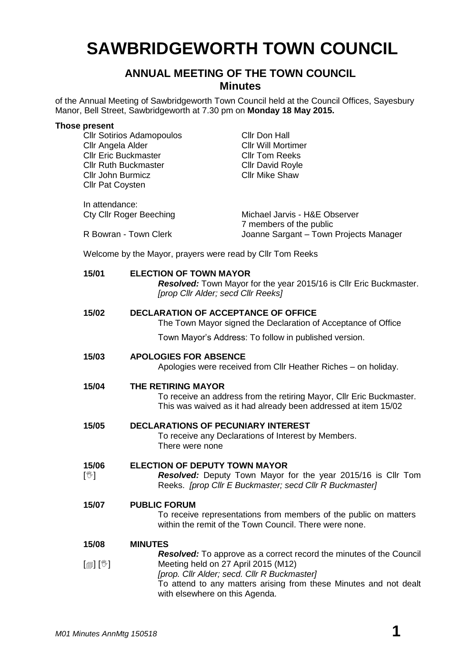# **SAWBRIDGEWORTH TOWN COUNCIL**

# **ANNUAL MEETING OF THE TOWN COUNCIL Minutes**

of the Annual Meeting of Sawbridgeworth Town Council held at the Council Offices, Sayesbury Manor, Bell Street, Sawbridgeworth at 7.30 pm on **Monday 18 May 2015.**

| <b>Those present</b>                                                                                                                                                |                                     |                                                                                                                                        |                                                                                                                                                 |  |  |
|---------------------------------------------------------------------------------------------------------------------------------------------------------------------|-------------------------------------|----------------------------------------------------------------------------------------------------------------------------------------|-------------------------------------------------------------------------------------------------------------------------------------------------|--|--|
| <b>CIIr Sotirios Adamopoulos</b><br>Cllr Angela Alder<br><b>Cllr Eric Buckmaster</b><br><b>Cllr Ruth Buckmaster</b><br>Cllr John Burmicz<br><b>Cllr Pat Coysten</b> |                                     |                                                                                                                                        | <b>Cllr Don Hall</b><br><b>CIIr Will Mortimer</b><br><b>Cllr Tom Reeks</b><br><b>CIIr David Royle</b><br><b>Cllr Mike Shaw</b>                  |  |  |
|                                                                                                                                                                     | In attendance:                      | <b>Cty Cllr Roger Beeching</b>                                                                                                         | Michael Jarvis - H&E Observer<br>7 members of the public                                                                                        |  |  |
|                                                                                                                                                                     |                                     | R Bowran - Town Clerk                                                                                                                  | Joanne Sargant - Town Projects Manager                                                                                                          |  |  |
|                                                                                                                                                                     |                                     | Welcome by the Mayor, prayers were read by Cllr Tom Reeks                                                                              |                                                                                                                                                 |  |  |
|                                                                                                                                                                     | 15/01                               | <b>ELECTION OF TOWN MAYOR</b><br>[prop Cllr Alder; secd Cllr Reeks]                                                                    | Resolved: Town Mayor for the year 2015/16 is Cllr Eric Buckmaster.                                                                              |  |  |
|                                                                                                                                                                     | 15/02                               | <b>DECLARATION OF ACCEPTANCE OF OFFICE</b>                                                                                             | The Town Mayor signed the Declaration of Acceptance of Office                                                                                   |  |  |
|                                                                                                                                                                     |                                     |                                                                                                                                        | Town Mayor's Address: To follow in published version.                                                                                           |  |  |
|                                                                                                                                                                     | 15/03                               | <b>APOLOGIES FOR ABSENCE</b>                                                                                                           | Apologies were received from Cllr Heather Riches - on holiday.                                                                                  |  |  |
|                                                                                                                                                                     | 15/04                               | THE RETIRING MAYOR                                                                                                                     | To receive an address from the retiring Mayor, Cllr Eric Buckmaster.<br>This was waived as it had already been addressed at item 15/02          |  |  |
|                                                                                                                                                                     | 15/05                               | <b>DECLARATIONS OF PECUNIARY INTEREST</b><br>There were none                                                                           | To receive any Declarations of Interest by Members.                                                                                             |  |  |
| $[\mathbb{V}]$                                                                                                                                                      | 15/06                               | <b>ELECTION OF DEPUTY TOWN MAYOR</b>                                                                                                   | <b>Resolved:</b> Deputy Town Mayor for the year 2015/16 is Cllr Tom<br>Reeks. [prop Cllr E Buckmaster; secd Cllr R Buckmaster]                  |  |  |
|                                                                                                                                                                     | 15/07                               | <b>PUBLIC FORUM</b>                                                                                                                    | To receive representations from members of the public on matters<br>within the remit of the Town Council. There were none.                      |  |  |
|                                                                                                                                                                     | 15/08<br>$[\mathbb{D}][\mathbb{C}]$ | <b>MINUTES</b><br>Meeting held on 27 April 2015 (M12)<br>[prop. Cllr Alder; secd. Cllr R Buckmaster]<br>with elsewhere on this Agenda. | <b>Resolved:</b> To approve as a correct record the minutes of the Council<br>To attend to any matters arising from these Minutes and not dealt |  |  |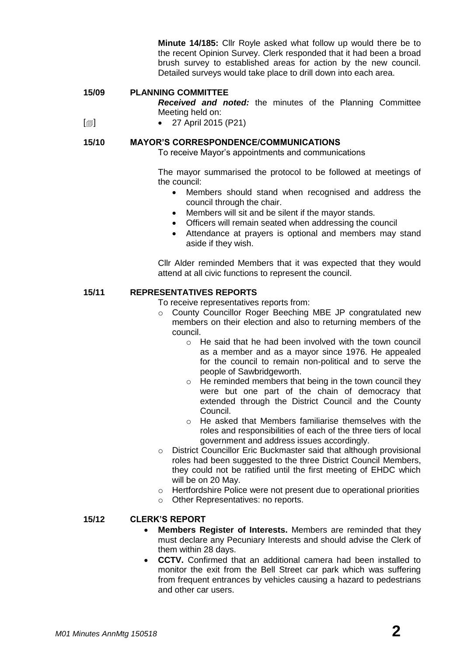**Minute 14/185:** Cllr Royle asked what follow up would there be to the recent Opinion Survey. Clerk responded that it had been a broad brush survey to established areas for action by the new council. Detailed surveys would take place to drill down into each area.

#### **15/09 PLANNING COMMITTEE**

*Received and noted:* the minutes of the Planning Committee Meeting held on:

 $\lceil$  $\blacksquare$ 27 April 2015 (P21)

#### **15/10 MAYOR'S CORRESPONDENCE/COMMUNICATIONS**

To receive Mayor's appointments and communications

The mayor summarised the protocol to be followed at meetings of the council:

- Members should stand when recognised and address the council through the chair.
- Members will sit and be silent if the mayor stands.
- Officers will remain seated when addressing the council
- Attendance at prayers is optional and members may stand aside if they wish.

Cllr Alder reminded Members that it was expected that they would attend at all civic functions to represent the council.

#### **15/11 REPRESENTATIVES REPORTS**

To receive representatives reports from:

- o County Councillor Roger Beeching MBE JP congratulated new members on their election and also to returning members of the council.
	- o He said that he had been involved with the town council as a member and as a mayor since 1976. He appealed for the council to remain non-political and to serve the people of Sawbridgeworth.
	- o He reminded members that being in the town council they were but one part of the chain of democracy that extended through the District Council and the County Council.
	- o He asked that Members familiarise themselves with the roles and responsibilities of each of the three tiers of local government and address issues accordingly.
- o District Councillor Eric Buckmaster said that although provisional roles had been suggested to the three District Council Members, they could not be ratified until the first meeting of EHDC which will be on 20 May.
- o Hertfordshire Police were not present due to operational priorities
- o Other Representatives: no reports.

#### **15/12 CLERK'S REPORT**

- **Members Register of Interests.** Members are reminded that they must declare any Pecuniary Interests and should advise the Clerk of them within 28 days.
- **CCTV.** Confirmed that an additional camera had been installed to monitor the exit from the Bell Street car park which was suffering from frequent entrances by vehicles causing a hazard to pedestrians and other car users.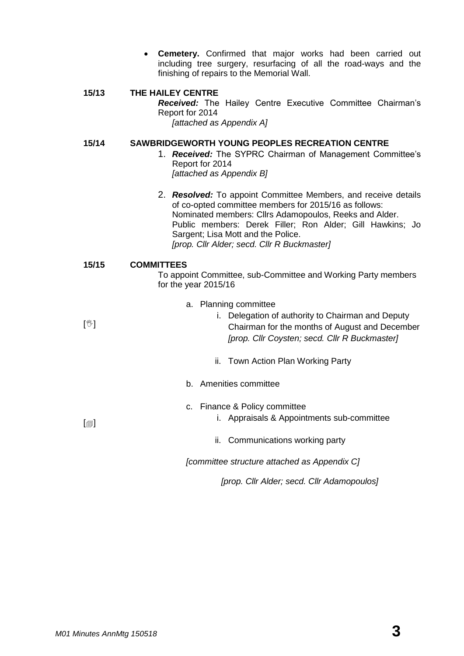**Cemetery.** Confirmed that major works had been carried out including tree surgery, resurfacing of all the road-ways and the finishing of repairs to the Memorial Wall.

### **15/13 THE HAILEY CENTRE** *Received:* The Hailey Centre Executive Committee Chairman's Report for 2014 *[attached as Appendix A]*

#### **15/14 SAWBRIDGEWORTH YOUNG PEOPLES RECREATION CENTRE**

- 1. *Received:* The SYPRC Chairman of Management Committee's Report for 2014 *[attached as Appendix B]*
- 2. *Resolved:* To appoint Committee Members, and receive details of co-opted committee members for 2015/16 as follows: Nominated members: Cllrs Adamopoulos, Reeks and Alder. Public members: Derek Filler; Ron Alder; Gill Hawkins; Jo Sargent; Lisa Mott and the Police. *[prop. Cllr Alder; secd. Cllr R Buckmaster]*

#### **15/15 COMMITTEES**

To appoint Committee, sub-Committee and Working Party members for the year 2015/16

- a. Planning committee
- $[\mathbb{V}]$ i. Delegation of authority to Chairman and Deputy Chairman for the months of August and December *[prop. Cllr Coysten; secd. Cllr R Buckmaster]*
	- ii. Town Action Plan Working Party
	- b. Amenities committee
	- c. Finance & Policy committee
- $\Box$

ii. Communications working party

*[committee structure attached as Appendix C]*

*[prop. Cllr Alder; secd. Cllr Adamopoulos]*

i. Appraisals & Appointments sub-committee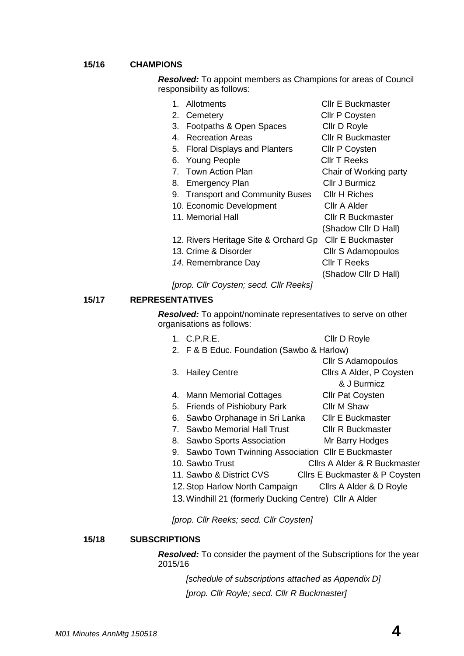#### **15/16 CHAMPIONS**

*Resolved:* To appoint members as Champions for areas of Council responsibility as follows:

| 1. | Allotments                            | <b>CIIr E Buckmaster</b> |
|----|---------------------------------------|--------------------------|
|    | 2. Cemetery                           | <b>Cllr P Coysten</b>    |
| 3. | Footpaths & Open Spaces               | Cllr D Royle             |
| 4  | <b>Recreation Areas</b>               | Cllr R Buckmaster        |
|    | 5. Floral Displays and Planters       | Cllr P Coysten           |
|    | 6. Young People                       | Cllr T Reeks             |
|    | 7. Town Action Plan                   | Chair of Working party   |
|    | 8. Emergency Plan                     | Cllr J Burmicz           |
|    | 9. Transport and Community Buses      | Cllr H Riches            |
|    | 10. Economic Development              | Cllr A Alder             |
|    | 11. Memorial Hall                     | Cllr R Buckmaster        |
|    |                                       | (Shadow Cllr D Hall)     |
|    | 12. Rivers Heritage Site & Orchard Gp | <b>CIIr E Buckmaster</b> |
|    | 13. Crime & Disorder                  | Cllr S Adamopoulos       |
|    | 14. Remembrance Day                   | Cllr T Reeks             |
|    |                                       | (Shadow Cllr D Hall)     |
|    |                                       |                          |

*[prop. Cllr Coysten; secd. Cllr Reeks]*

#### **15/17 REPRESENTATIVES**

*Resolved:* To appoint/nominate representatives to serve on other organisations as follows:

|    | 1. C.P.R.E.                                            | Cllr D Royle                               |  |  |  |  |
|----|--------------------------------------------------------|--------------------------------------------|--|--|--|--|
|    |                                                        | 2. F & B Educ. Foundation (Sawbo & Harlow) |  |  |  |  |
|    |                                                        | Cllr S Adamopoulos                         |  |  |  |  |
| 3. | <b>Hailey Centre</b>                                   | Cllrs A Alder, P Coysten                   |  |  |  |  |
|    |                                                        | & J Burmicz                                |  |  |  |  |
|    | 4. Mann Memorial Cottages                              | <b>CIIr Pat Coysten</b>                    |  |  |  |  |
|    | 5. Friends of Pishiobury Park                          | Cllr M Shaw                                |  |  |  |  |
| 6. | Sawbo Orphanage in Sri Lanka                           | Cllr E Buckmaster                          |  |  |  |  |
|    | 7. Sawbo Memorial Hall Trust                           | Cllr R Buckmaster                          |  |  |  |  |
|    | 8. Sawbo Sports Association                            | Mr Barry Hodges                            |  |  |  |  |
|    | 9. Sawbo Town Twinning Association Cllr E Buckmaster   |                                            |  |  |  |  |
|    | 10. Sawbo Trust                                        | Clirs A Alder & R Buckmaster               |  |  |  |  |
|    | 11. Sawbo & District CVS                               | Cllrs E Buckmaster & P Coysten             |  |  |  |  |
|    | 12. Stop Harlow North Campaign                         | Cllrs A Alder & D Royle                    |  |  |  |  |
|    | 13. Windhill 21 (formerly Ducking Centre) Cllr A Alder |                                            |  |  |  |  |
|    |                                                        |                                            |  |  |  |  |
|    |                                                        |                                            |  |  |  |  |

*[prop. Cllr Reeks; secd. Cllr Coysten]*

#### **15/18 SUBSCRIPTIONS**

*Resolved:* To consider the payment of the Subscriptions for the year 2015/16

> *[schedule of subscriptions attached as Appendix D] [prop. Cllr Royle; secd. Cllr R Buckmaster]*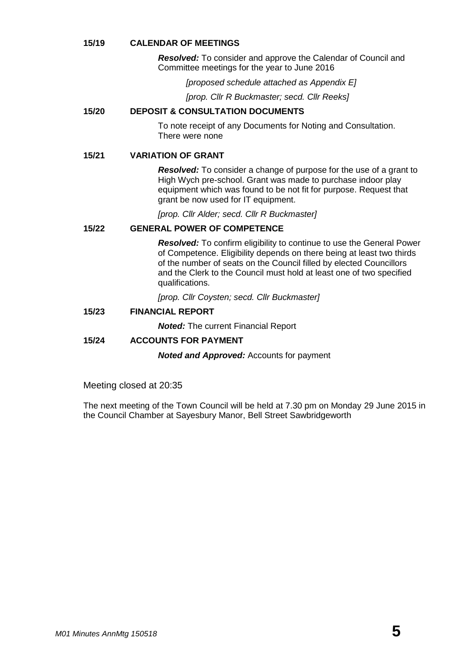#### **15/19 CALENDAR OF MEETINGS**

*Resolved:* To consider and approve the Calendar of Council and Committee meetings for the year to June 2016

*[proposed schedule attached as Appendix E]*

*[prop. Cllr R Buckmaster; secd. Cllr Reeks]*

#### **15/20 DEPOSIT & CONSULTATION DOCUMENTS**

To note receipt of any Documents for Noting and Consultation. There were none

#### **15/21 VARIATION OF GRANT**

*Resolved:* To consider a change of purpose for the use of a grant to High Wych pre-school. Grant was made to purchase indoor play equipment which was found to be not fit for purpose. Request that grant be now used for IT equipment.

*[prop. Cllr Alder; secd. Cllr R Buckmaster]*

#### **15/22 GENERAL POWER OF COMPETENCE**

*Resolved:* To confirm eligibility to continue to use the General Power of Competence. Eligibility depends on there being at least two thirds of the number of seats on the Council filled by elected Councillors and the Clerk to the Council must hold at least one of two specified qualifications.

*[prop. Cllr Coysten; secd. Cllr Buckmaster]*

#### **15/23 FINANCIAL REPORT**

*Noted:* The current Financial Report

#### **15/24 ACCOUNTS FOR PAYMENT**

*Noted and Approved:* Accounts for payment

Meeting closed at 20:35

The next meeting of the Town Council will be held at 7.30 pm on Monday 29 June 2015 in the Council Chamber at Sayesbury Manor, Bell Street Sawbridgeworth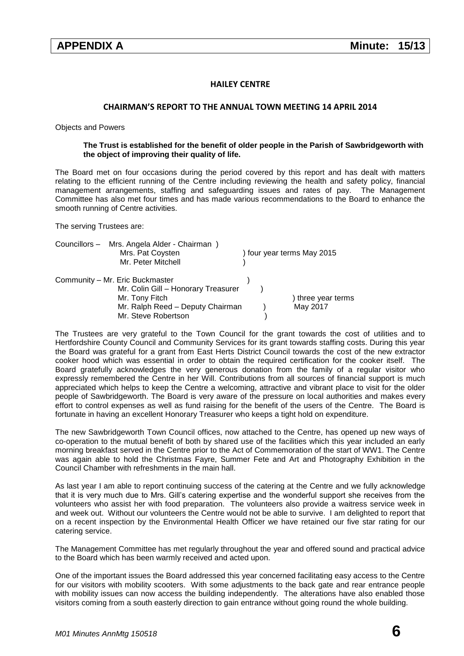#### **HAILEY CENTRE**

#### **CHAIRMAN'S REPORT TO THE ANNUAL TOWN MEETING 14 APRIL 2014**

Objects and Powers

#### **The Trust is established for the benefit of older people in the Parish of Sawbridgeworth with the object of improving their quality of life.**

The Board met on four occasions during the period covered by this report and has dealt with matters relating to the efficient running of the Centre including reviewing the health and safety policy, financial management arrangements, staffing and safeguarding issues and rates of pay. The Management Committee has also met four times and has made various recommendations to the Board to enhance the smooth running of Centre activities.

The serving Trustees are:

| Councillors - Mrs. Angela Alder - Chairman)<br>Mrs. Pat Coysten<br>Mr. Peter Mitchell                                                               |  | ) four year terms May 2015     |
|-----------------------------------------------------------------------------------------------------------------------------------------------------|--|--------------------------------|
| Community - Mr. Eric Buckmaster<br>Mr. Colin Gill - Honorary Treasurer<br>Mr. Tony Fitch<br>Mr. Ralph Reed - Deputy Chairman<br>Mr. Steve Robertson |  | ) three year terms<br>May 2017 |

The Trustees are very grateful to the Town Council for the grant towards the cost of utilities and to Hertfordshire County Council and Community Services for its grant towards staffing costs. During this year the Board was grateful for a grant from East Herts District Council towards the cost of the new extractor cooker hood which was essential in order to obtain the required certification for the cooker itself. The Board gratefully acknowledges the very generous donation from the family of a regular visitor who expressly remembered the Centre in her Will. Contributions from all sources of financial support is much appreciated which helps to keep the Centre a welcoming, attractive and vibrant place to visit for the older people of Sawbridgeworth. The Board is very aware of the pressure on local authorities and makes every effort to control expenses as well as fund raising for the benefit of the users of the Centre. The Board is fortunate in having an excellent Honorary Treasurer who keeps a tight hold on expenditure.

The new Sawbridgeworth Town Council offices, now attached to the Centre, has opened up new ways of co-operation to the mutual benefit of both by shared use of the facilities which this year included an early morning breakfast served in the Centre prior to the Act of Commemoration of the start of WW1. The Centre was again able to hold the Christmas Fayre, Summer Fete and Art and Photography Exhibition in the Council Chamber with refreshments in the main hall.

As last year I am able to report continuing success of the catering at the Centre and we fully acknowledge that it is very much due to Mrs. Gill's catering expertise and the wonderful support she receives from the volunteers who assist her with food preparation. The volunteers also provide a waitress service week in and week out. Without our volunteers the Centre would not be able to survive. I am delighted to report that on a recent inspection by the Environmental Health Officer we have retained our five star rating for our catering service.

The Management Committee has met regularly throughout the year and offered sound and practical advice to the Board which has been warmly received and acted upon.

One of the important issues the Board addressed this year concerned facilitating easy access to the Centre for our visitors with mobility scooters. With some adjustments to the back gate and rear entrance people with mobility issues can now access the building independently. The alterations have also enabled those visitors coming from a south easterly direction to gain entrance without going round the whole building.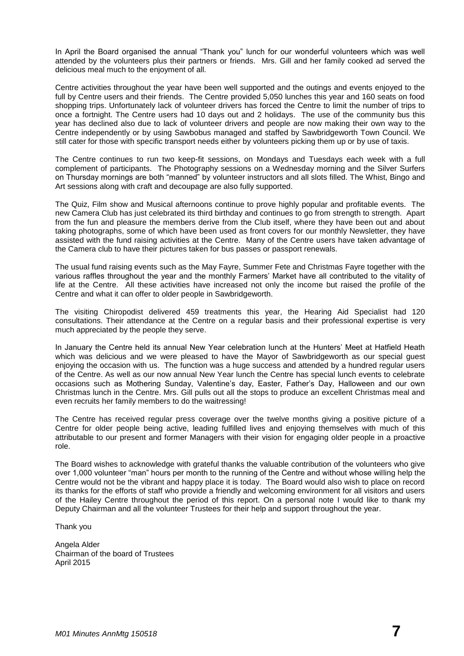In April the Board organised the annual "Thank you" lunch for our wonderful volunteers which was well attended by the volunteers plus their partners or friends. Mrs. Gill and her family cooked ad served the delicious meal much to the enjoyment of all.

Centre activities throughout the year have been well supported and the outings and events enjoyed to the full by Centre users and their friends. The Centre provided 5,050 lunches this year and 160 seats on food shopping trips. Unfortunately lack of volunteer drivers has forced the Centre to limit the number of trips to once a fortnight. The Centre users had 10 days out and 2 holidays. The use of the community bus this year has declined also due to lack of volunteer drivers and people are now making their own way to the Centre independently or by using Sawbobus managed and staffed by Sawbridgeworth Town Council. We still cater for those with specific transport needs either by volunteers picking them up or by use of taxis.

The Centre continues to run two keep-fit sessions, on Mondays and Tuesdays each week with a full complement of participants. The Photography sessions on a Wednesday morning and the Silver Surfers on Thursday mornings are both "manned" by volunteer instructors and all slots filled. The Whist, Bingo and Art sessions along with craft and decoupage are also fully supported.

The Quiz, Film show and Musical afternoons continue to prove highly popular and profitable events. The new Camera Club has just celebrated its third birthday and continues to go from strength to strength. Apart from the fun and pleasure the members derive from the Club itself, where they have been out and about taking photographs, some of which have been used as front covers for our monthly Newsletter, they have assisted with the fund raising activities at the Centre. Many of the Centre users have taken advantage of the Camera club to have their pictures taken for bus passes or passport renewals.

The usual fund raising events such as the May Fayre, Summer Fete and Christmas Fayre together with the various raffles throughout the year and the monthly Farmers' Market have all contributed to the vitality of life at the Centre. All these activities have increased not only the income but raised the profile of the Centre and what it can offer to older people in Sawbridgeworth.

The visiting Chiropodist delivered 459 treatments this year, the Hearing Aid Specialist had 120 consultations. Their attendance at the Centre on a regular basis and their professional expertise is very much appreciated by the people they serve.

In January the Centre held its annual New Year celebration lunch at the Hunters' Meet at Hatfield Heath which was delicious and we were pleased to have the Mayor of Sawbridgeworth as our special guest enjoying the occasion with us. The function was a huge success and attended by a hundred regular users of the Centre. As well as our now annual New Year lunch the Centre has special lunch events to celebrate occasions such as Mothering Sunday, Valentine's day, Easter, Father's Day, Halloween and our own Christmas lunch in the Centre. Mrs. Gill pulls out all the stops to produce an excellent Christmas meal and even recruits her family members to do the waitressing!

The Centre has received regular press coverage over the twelve months giving a positive picture of a Centre for older people being active, leading fulfilled lives and enjoying themselves with much of this attributable to our present and former Managers with their vision for engaging older people in a proactive role.

The Board wishes to acknowledge with grateful thanks the valuable contribution of the volunteers who give over 1,000 volunteer "man" hours per month to the running of the Centre and without whose willing help the Centre would not be the vibrant and happy place it is today. The Board would also wish to place on record its thanks for the efforts of staff who provide a friendly and welcoming environment for all visitors and users of the Hailey Centre throughout the period of this report. On a personal note I would like to thank my Deputy Chairman and all the volunteer Trustees for their help and support throughout the year.

Thank you

Angela Alder Chairman of the board of Trustees April 2015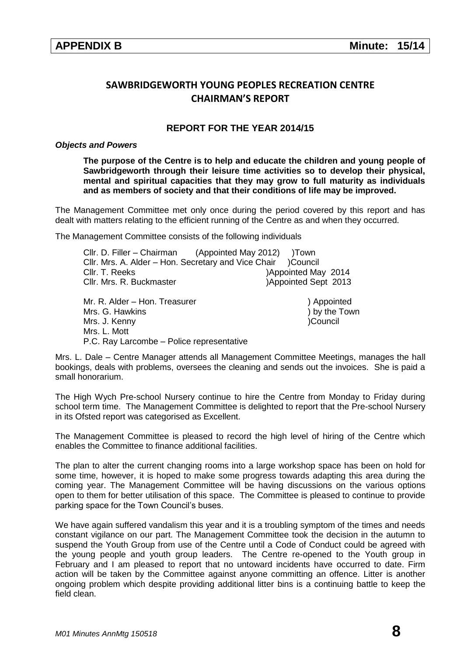## **SAWBRIDGEWORTH YOUNG PEOPLES RECREATION CENTRE CHAIRMAN'S REPORT**

### **REPORT FOR THE YEAR 2014/15**

*Objects and Powers*

**The purpose of the Centre is to help and educate the children and young people of Sawbridgeworth through their leisure time activities so to develop their physical, mental and spiritual capacities that they may grow to full maturity as individuals and as members of society and that their conditions of life may be improved.**

The Management Committee met only once during the period covered by this report and has dealt with matters relating to the efficient running of the Centre as and when they occurred.

The Management Committee consists of the following individuals

|                               | Cllr. D. Filler – Chairman (Appointed May 2012) )Town        |                      |  |
|-------------------------------|--------------------------------------------------------------|----------------------|--|
|                               | Cllr. Mrs. A. Alder – Hon. Secretary and Vice Chair (Council |                      |  |
| Cllr. T. Reeks                |                                                              | )Appointed May 2014  |  |
| Cllr. Mrs. R. Buckmaster      |                                                              | )Appointed Sept 2013 |  |
| Mr. R. Alder – Hon. Treasurer |                                                              | ) Appointed          |  |

Mrs. G. Hawkins **Mrs.** (a)  $\mathbf{b}$  by the Town Mrs. J. Kenny **International Council** Council Mrs. L. Mott P.C. Ray Larcombe – Police representative

Mrs. L. Dale – Centre Manager attends all Management Committee Meetings, manages the hall bookings, deals with problems, oversees the cleaning and sends out the invoices. She is paid a small honorarium.

The High Wych Pre-school Nursery continue to hire the Centre from Monday to Friday during school term time. The Management Committee is delighted to report that the Pre-school Nursery in its Ofsted report was categorised as Excellent.

The Management Committee is pleased to record the high level of hiring of the Centre which enables the Committee to finance additional facilities.

The plan to alter the current changing rooms into a large workshop space has been on hold for some time, however, it is hoped to make some progress towards adapting this area during the coming year. The Management Committee will be having discussions on the various options open to them for better utilisation of this space. The Committee is pleased to continue to provide parking space for the Town Council's buses.

We have again suffered vandalism this year and it is a troubling symptom of the times and needs constant vigilance on our part. The Management Committee took the decision in the autumn to suspend the Youth Group from use of the Centre until a Code of Conduct could be agreed with the young people and youth group leaders. The Centre re-opened to the Youth group in February and I am pleased to report that no untoward incidents have occurred to date. Firm action will be taken by the Committee against anyone committing an offence. Litter is another ongoing problem which despite providing additional litter bins is a continuing battle to keep the field clean.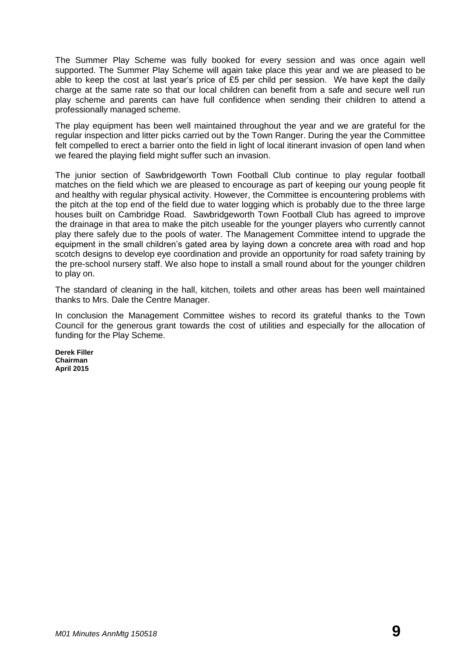The Summer Play Scheme was fully booked for every session and was once again well supported. The Summer Play Scheme will again take place this year and we are pleased to be able to keep the cost at last year's price of £5 per child per session. We have kept the daily charge at the same rate so that our local children can benefit from a safe and secure well run play scheme and parents can have full confidence when sending their children to attend a professionally managed scheme.

The play equipment has been well maintained throughout the year and we are grateful for the regular inspection and litter picks carried out by the Town Ranger. During the year the Committee felt compelled to erect a barrier onto the field in light of local itinerant invasion of open land when we feared the playing field might suffer such an invasion.

The junior section of Sawbridgeworth Town Football Club continue to play regular football matches on the field which we are pleased to encourage as part of keeping our young people fit and healthy with regular physical activity. However, the Committee is encountering problems with the pitch at the top end of the field due to water logging which is probably due to the three large houses built on Cambridge Road. Sawbridgeworth Town Football Club has agreed to improve the drainage in that area to make the pitch useable for the younger players who currently cannot play there safely due to the pools of water. The Management Committee intend to upgrade the equipment in the small children's gated area by laying down a concrete area with road and hop scotch designs to develop eye coordination and provide an opportunity for road safety training by the pre-school nursery staff. We also hope to install a small round about for the younger children to play on.

The standard of cleaning in the hall, kitchen, toilets and other areas has been well maintained thanks to Mrs. Dale the Centre Manager.

In conclusion the Management Committee wishes to record its grateful thanks to the Town Council for the generous grant towards the cost of utilities and especially for the allocation of funding for the Play Scheme.

**Derek Filler Chairman April 2015**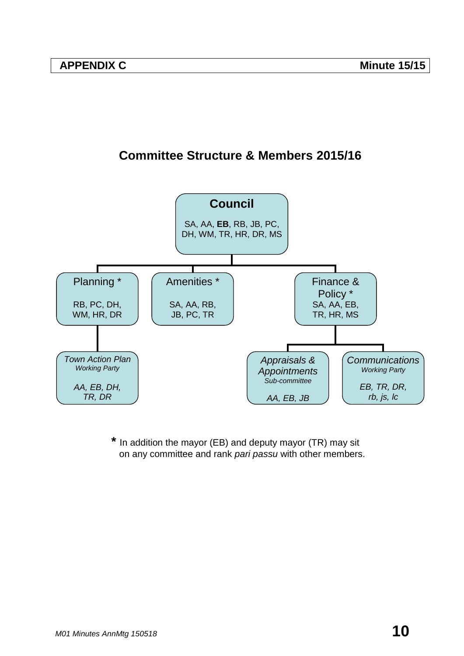# **Committee Structure & Members 2015/16**



**\*** In addition the mayor (EB) and deputy mayor (TR) may sit on any committee and rank *pari passu* with other members.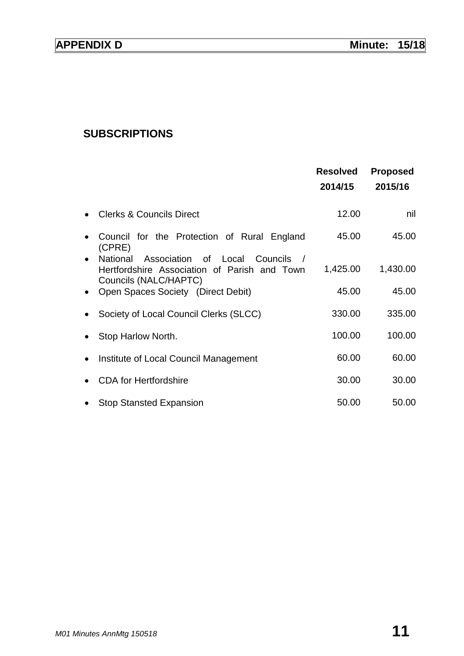# **SUBSCRIPTIONS**

|                                                                                                                    | <b>Resolved</b><br>2014/15 | <b>Proposed</b><br>2015/16 |
|--------------------------------------------------------------------------------------------------------------------|----------------------------|----------------------------|
| <b>Clerks &amp; Councils Direct</b>                                                                                | 12.00                      | nil                        |
| Council for the Protection of Rural England<br>(CPRE)                                                              | 45.00                      | 45.00                      |
| Association of Local Councils<br>National<br>Hertfordshire Association of Parish and Town<br>Councils (NALC/HAPTC) | 1,425.00                   | 1,430.00                   |
| Open Spaces Society (Direct Debit)                                                                                 | 45.00                      | 45.00                      |
| Society of Local Council Clerks (SLCC)                                                                             | 330.00                     | 335.00                     |
| Stop Harlow North.                                                                                                 | 100.00                     | 100.00                     |
| Institute of Local Council Management                                                                              | 60.00                      | 60.00                      |
| <b>CDA</b> for Hertfordshire                                                                                       | 30.00                      | 30.00                      |
| <b>Stop Stansted Expansion</b>                                                                                     | 50.00                      | 50.00                      |